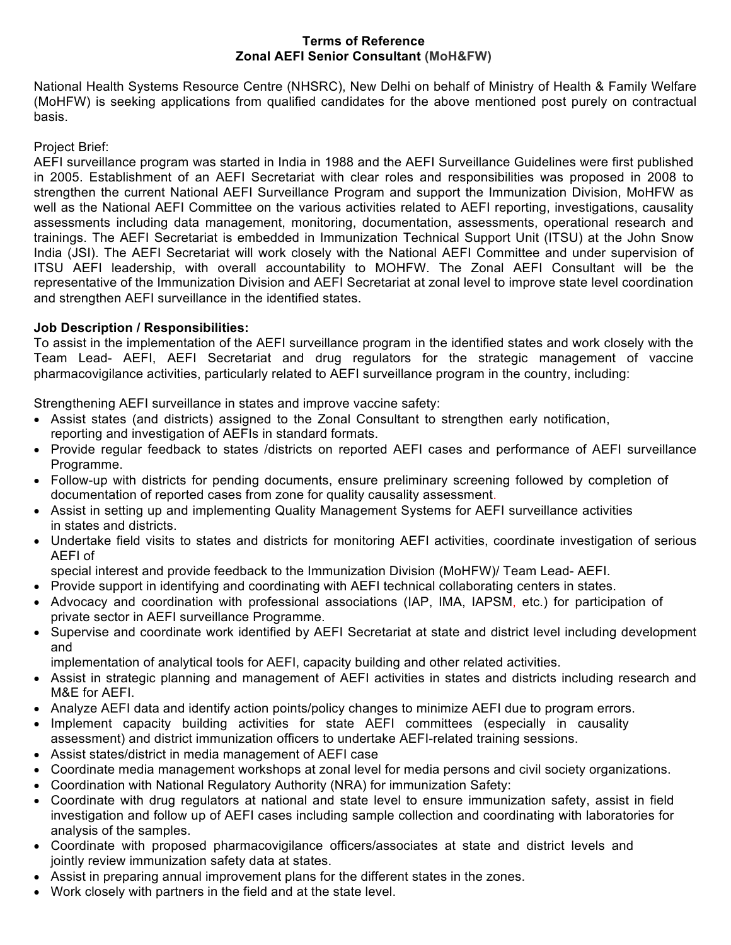#### **Terms of Reference Zonal AEFI Senior Consultant (MoH&FW)**

National Health Systems Resource Centre (NHSRC), New Delhi on behalf of Ministry of Health & Family Welfare (MoHFW) is seeking applications from qualified candidates for the above mentioned post purely on contractual basis.

#### Project Brief:

AEFI surveillance program was started in India in 1988 and the AEFI Surveillance Guidelines were first published in 2005. Establishment of an AEFI Secretariat with clear roles and responsibilities was proposed in 2008 to strengthen the current National AEFI Surveillance Program and support the Immunization Division, MoHFW as well as the National AEFI Committee on the various activities related to AEFI reporting, investigations, causality assessments including data management, monitoring, documentation, assessments, operational research and trainings. The AEFI Secretariat is embedded in Immunization Technical Support Unit (ITSU) at the John Snow India (JSI). The AEFI Secretariat will work closely with the National AEFI Committee and under supervision of ITSU AEFI leadership, with overall accountability to MOHFW. The Zonal AEFI Consultant will be the representative of the Immunization Division and AEFI Secretariat at zonal level to improve state level coordination and strengthen AEFI surveillance in the identified states.

### **Job Description / Responsibilities:**

To assist in the implementation of the AEFI surveillance program in the identified states and work closely with the Team Lead- AEFI, AEFI Secretariat and drug regulators for the strategic management of vaccine pharmacovigilance activities, particularly related to AEFI surveillance program in the country, including:

Strengthening AEFI surveillance in states and improve vaccine safety:

- Assist states (and districts) assigned to the Zonal Consultant to strengthen early notification, reporting and investigation of AEFIs in standard formats.
- Provide regular feedback to states /districts on reported AEFI cases and performance of AEFI surveillance Programme.
- Follow-up with districts for pending documents, ensure preliminary screening followed by completion of documentation of reported cases from zone for quality causality assessment.
- Assist in setting up and implementing Quality Management Systems for AEFI surveillance activities in states and districts.
- Undertake field visits to states and districts for monitoring AEFI activities, coordinate investigation of serious AEFI of
- special interest and provide feedback to the Immunization Division (MoHFW)/ Team Lead- AEFI.
- Provide support in identifying and coordinating with AEFI technical collaborating centers in states.
- Advocacy and coordination with professional associations (IAP, IMA, IAPSM, etc.) for participation of private sector in AEFI surveillance Programme.
- Supervise and coordinate work identified by AEFI Secretariat at state and district level including development and

implementation of analytical tools for AEFI, capacity building and other related activities.

- Assist in strategic planning and management of AEFI activities in states and districts including research and M&E for AEFI.
- Analyze AEFI data and identify action points/policy changes to minimize AEFI due to program errors.
- Implement capacity building activities for state AEFI committees (especially in causality assessment) and district immunization officers to undertake AEFI-related training sessions.
- Assist states/district in media management of AEFI case
- Coordinate media management workshops at zonal level for media persons and civil society organizations.
- Coordination with National Regulatory Authority (NRA) for immunization Safety:
- Coordinate with drug regulators at national and state level to ensure immunization safety, assist in field investigation and follow up of AEFI cases including sample collection and coordinating with laboratories for analysis of the samples.
- Coordinate with proposed pharmacovigilance officers/associates at state and district levels and jointly review immunization safety data at states.
- Assist in preparing annual improvement plans for the different states in the zones.
- Work closely with partners in the field and at the state level.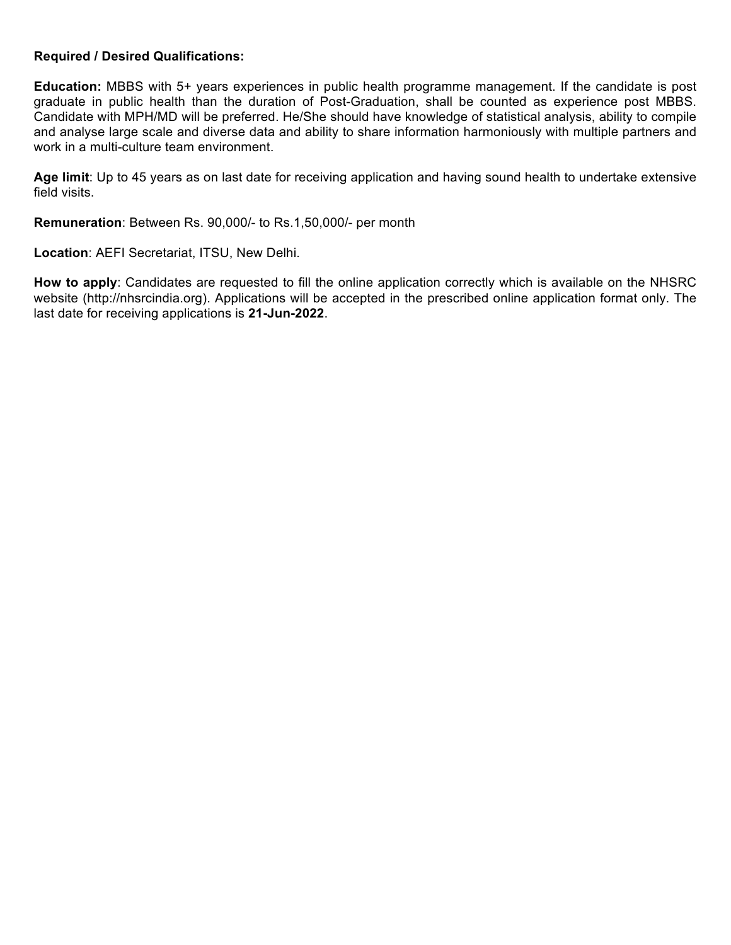#### **Required / Desired Qualifications:**

**Education:** MBBS with 5+ years experiences in public health programme management. If the candidate is post graduate in public health than the duration of Post-Graduation, shall be counted as experience post MBBS. Candidate with MPH/MD will be preferred. He/She should have knowledge of statistical analysis, ability to compile and analyse large scale and diverse data and ability to share information harmoniously with multiple partners and work in a multi-culture team environment.

**Age limit**: Up to 45 years as on last date for receiving application and having sound health to undertake extensive field visits.

**Remuneration**: Between Rs. 90,000/- to Rs.1,50,000/- per month

**Location**: AEFI Secretariat, ITSU, New Delhi.

**How to apply**: Candidates are requested to fill the online application correctly which is available on the NHSRC website (http://nhsrcindia.org). Applications will be accepted in the prescribed online application format only. The last date for receiving applications is **21-Jun-2022**.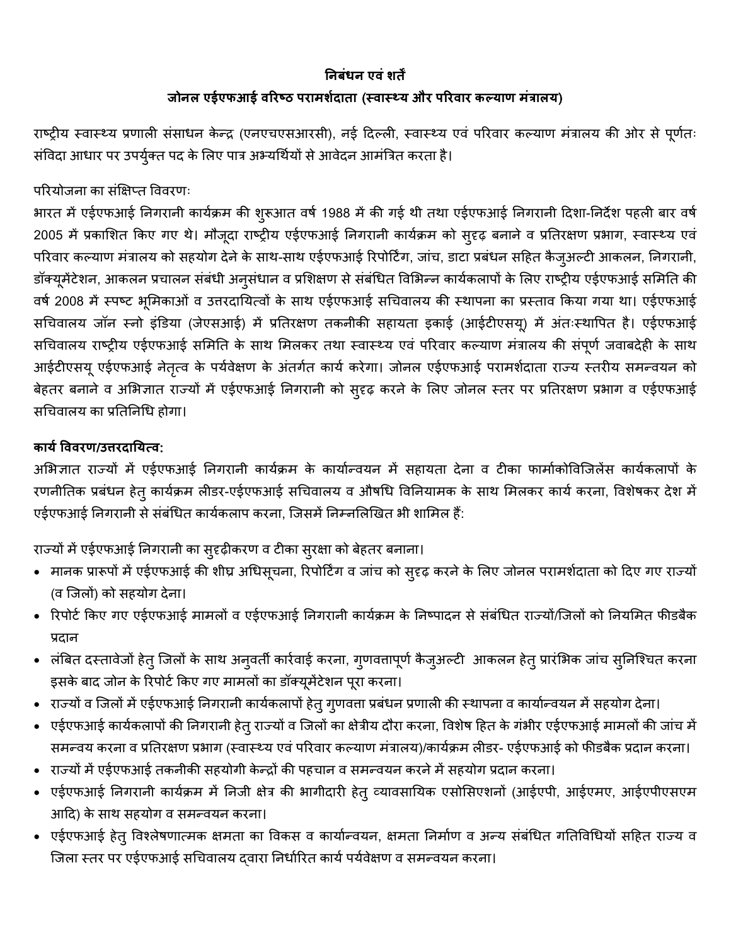## **!नबंधन एवं शत\***

# **जोनल एईएफआई व1र3ठ परामश8दाता** (**: वा: < य और प1रवार क@ याण मंBालय**)

राष्ट्रीय स्वास्थ्य प्रणाली संसाधन केन्द्र (एनएचएसआरसी), नई दिल्ली, स्वास्थ्य एवं परिवार कल्याण मंत्रालय की ओर से पूर्णतः संविदा आधार पर उपर्युक्त पद के लिए पात्र अभ्यर्थियों से आवेदन आमंत्रित करता है।

परियोजना का संक्षिप्त विवरणः

भारत में एईएफआई निगरानी कार्यक्रम की शुरूआत वर्ष 1988 में की गई थी तथा एईएफआई निगरानी दिशा-निर्देश पहली बार वर्ष 2005 में प्रकाशित किए गए थे। मौजूदा राष्ट्रीय एईएफआई निगरानी कार्यक्रम को सुदृढ़ बनाने व प्रतिरक्षण प्रभाग, स्वास्थ्य एवं परिवार कल्याण मंत्रालय को सहयोग देने के साथ-साथ एईएफआई रिपोर्टिंग, जांच, डाटा प्रबंधन सहित कैजुअल्टी आकलन, निगरानी, डॉक्यूमेंटेशन, आकलन प्रचालन संबंधी अनुसंधान व प्रशिक्षण से संबंधित विभिन्न कार्यकलापों के लिए राष्ट्रीय एईएफआई समिति की वर्ष 2008 में स्पष्ट भूमिकाओं व उत्तरदायित्वों के साथ एईएफआई सचिवालय की स्थापना का प्रस्ताव किया गया था। एईएफआई सचिवालय जॉन स्नो इंडिया (जेएसआई) में प्रतिरक्षण तकनीकी सहायता इकाई (आईटीएसयू) में अंतःस्थापित है। एईएफआई सचिवालय राष्ट्रीय एईएफआई समिति के साथ मिलकर तथा स्वास्थ्य एवं परिवार कल्याण मंत्रालय की संपूर्ण जवाबदेही के साथ आईटीएसयू एईएफआई नेतृत्व के पर्यवेक्षण के अंतर्गत कार्य करेगा। जोनल एईएफआई परामर्शदाता राज्य स्तरीय समन्वयन को बेहतर बनाने व अभिज्ञात राज्यों में एईएफआई निगरानी को सुदृढ़ करने के लिए जोनल स्तर पर प्रतिरक्षण प्रभाग व एईएफआई सचिवालय का प्रतिनिधि होगा।

### **काय8 Cववरण**/**उEरदा!यFव**:

अभिज्ञात राज्यों में एईएफआई निगरानी कार्यक्रम के कार्यान्वयन में सहायता देना व टीका फार्माकोविजिलेंस कार्यकलापों के रणनीतिक प्रबंधन हेत् कार्यक्रम लीडर-एईएफआई सचिवालय व औषधि विनियामक के साथ मिलकर कार्य करना, विशेषकर देश में एईएफआई निगरानी से संबंधित कार्यकलाप करना, जिसमें निम्नलिखित भी शामिल हैं:

राज्यों में एईएफआई निगरानी का सुदृढ़ीकरण व टीका सुरक्षा को बेहतर बनाना।

- मानक प्रारूपों में एईएफआई की शीघ्र अधिसूचना, रिपोर्टिंग व जांच को सुदृढ़ करने के लिए जोनल परामर्शदाता को दिए गए राज्यों (व जिलों) को सहयोग देना।
- रिपोर्ट किए गए एईएफआई मामलों व एईएफआई निगरानी कार्यक्रम के निष्पादन से संबंधित राज्यों/जिलों को नियमित फीडबैक प्रदान
- लंबित दस्तावेजों हेतु जिलों के साथ अनुवर्ती कारेवाई करना, गुणवत्तापूर्ण कैजुअल्टी आकलन हेतु प्रारंभिक जांच सुनिश्चित करना इसके बाद जोन के रिपोर्ट किए गए मामलों का डॉक्यूमेंटेशन पूरा करना।
- राज्यों व जिलों में एईएफआई निगरानी कार्यकलापों हेतु गुणवत्ता प्रबंधन प्रणाली की स्थापना व कार्यान्वयन में सहयोग देना।
- एईएफआई कार्यकलापों की निगरानी हेतु राज्यों व जिलों का क्षेत्रीय दौरा करना, विशेष हित के गंभीर एईएफआई मामलों की जांच में समन्वय करना व प्रतिरक्षण प्रभाग (स्वास्थ्य एवं परिवार कल्याण मंत्रालय)/कार्यक्रम लीडर- एईएफआई को फीडबैक प्रदान करना।
- राज्यों में एईएफआई तकनीकी सहयोगी केन्द्रों की पहचान व समन्वयन करने में सहयोग प्रदान करना।
- एईएफआई निगरानी कार्यक्रम में निजी क्षेत्र की भागीदारी हेतु व्यावसायिक एसोसिएशनों (आईएपी, आईएमए, आईएपीएसएम आदि) के साथ सहयोग व समन्वयन करना।
- एईएफआई हेत् विश्लेषणात्मक क्षमता का विकस व कार्यान्वयन, क्षमता निर्माण व अन्य संबंधित गतिविधियों सहित राज्य व जिला स्तर पर एईएफआई सचिवालय दवारा निर्धारित कार्य पर्यवेक्षण व समन्वयन करना।